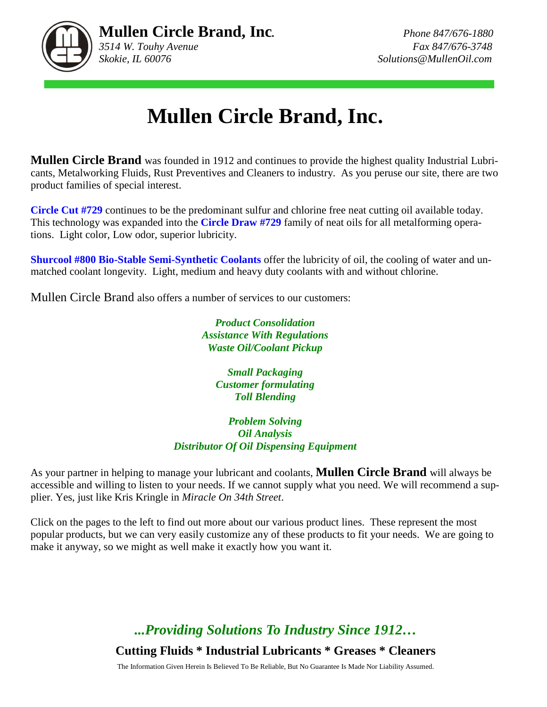

## **Mullen Circle Brand, Inc.**

**Mullen Circle Brand** was founded in 1912 and continues to provide the highest quality Industrial Lubricants, Metalworking Fluids, Rust Preventives and Cleaners to industry. As you peruse our site, there are two product families of special interest.

**Circle Cut #729** continues to be the predominant sulfur and chlorine free neat cutting oil available today. This technology was expanded into the **Circle Draw #729** family of neat oils for all metalforming operations. Light color, Low odor, superior lubricity.

**Shurcool #800 Bio-Stable Semi-Synthetic Coolants** offer the lubricity of oil, the cooling of water and unmatched coolant longevity. Light, medium and heavy duty coolants with and without chlorine.

Mullen Circle Brand also offers a number of services to our customers:

*Product Consolidation Assistance With Regulations Waste Oil/Coolant Pickup* 

> *Small Packaging Customer formulating Toll Blending*

*Problem Solving Oil Analysis Distributor Of Oil Dispensing Equipment* 

As your partner in helping to manage your lubricant and coolants, **Mullen Circle Brand** will always be accessible and willing to listen to your needs. If we cannot supply what you need. We will recommend a supplier. Yes, just like Kris Kringle in *Miracle On 34th Street*.

Click on the pages to the left to find out more about our various product lines. These represent the most popular products, but we can very easily customize any of these products to fit your needs. We are going to make it anyway, so we might as well make it exactly how you want it.

*...Providing Solutions To Industry Since 1912…* 

**Cutting Fluids \* Industrial Lubricants \* Greases \* Cleaners** 

The Information Given Herein Is Believed To Be Reliable, But No Guarantee Is Made Nor Liability Assumed.